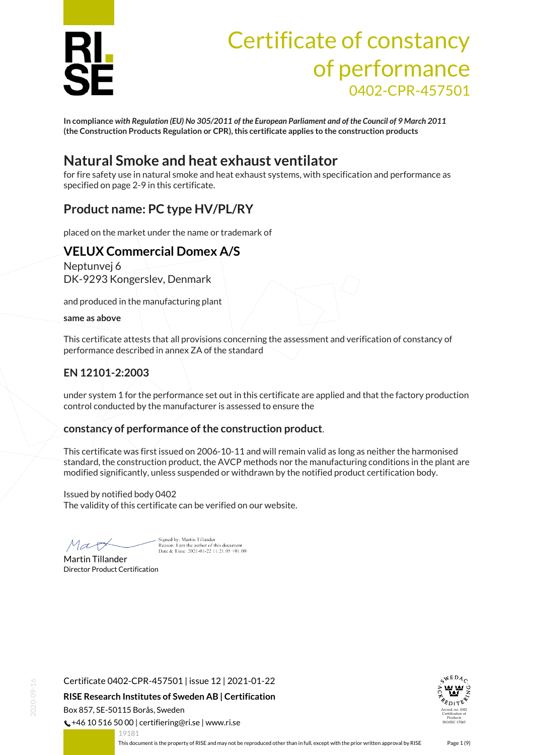

# Certificate of constancy of performance 0402-CPR-457501

**In compliance** *with Regulation (EU) No 305/2011 of the European Parliament and of the Council of 9 March 2011* **(the Construction Products Regulation or CPR), this certificate applies to the construction products**

### **Natural Smoke and heat exhaust ventilator**

for fire safety use in natural smoke and heat exhaust systems, with specification and performance as specified on page 2-9 in this certificate.

### **Product name: PC type HV/PL/RY**

placed on the market under the name or trademark of

### **VELUX Commercial Domex A/S**

Neptunvej 6 DK-9293 Kongerslev, Denmark

and produced in the manufacturing plant

**same as above**

This certificate attests that all provisions concerning the assessment and verification of constancy of performance described in annex ZA of the standard

### **EN 12101-2:2003**

under system 1 for the performance set out in this certificate are applied and that the factory production control conducted by the manufacturer is assessed to ensure the

#### **constancy of performance of the construction product**.

This certificate was first issued on 2006-10-11 and will remain valid as long as neither the harmonised standard, the construction product, the AVCP methods nor the manufacturing conditions in the plant are modified significantly, unless suspended or withdrawn by the notified product certification body.

Issued by notified body 0402 The validity of this certificate can be verified on our website.

Mar

Signed by: Martin Tillander Reason: I am the author of this document<br>Date & Time: 2021-01-22 11:21:05 +01:00

Martin Tillander Director Product Certification

19181

<span id="page-0-0"></span>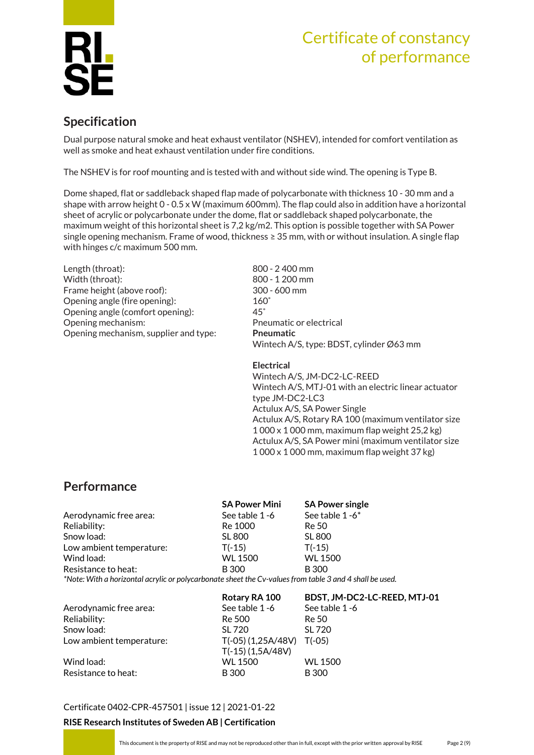

### **Specification**

Dual purpose natural smoke and heat exhaust ventilator (NSHEV), intended for comfort ventilation as well as smoke and heat exhaust ventilation under fire conditions.

The NSHEV is for roof mounting and is tested with and without side wind. The opening is Type B.

Dome shaped, flat or saddleback shaped flap made of polycarbonate with thickness 10 - 30 mm and a shape with arrow height 0 - 0.5 x W (maximum 600mm). The flap could also in addition have a horizontal sheet of acrylic or polycarbonate under the dome, flat or saddleback shaped polycarbonate, the maximum weight of this horizontal sheet is 7,2 kg/m2. This option is possible together with SA Power single opening mechanism. Frame of wood, thickness ≥ 35 mm, with or without insulation. A single flap with hinges c/c maximum 500 mm.

Length (throat): 800 - 2 400 mm Width (throat): 800 - 1 200 mm Frame height (above roof): 300 - 600 mm Opening angle (fire opening): 160˚ Opening angle (comfort opening): 45˚ Opening mechanism: example and the Pneumatic or electrical Opening mechanism, supplier and type: **Pneumatic**

Wintech A/S, type: BDST, cylinder Ø63 mm

**Electrical** Wintech A/S, JM-DC2-LC-REED Wintech A/S, MTJ-01 with an electric linear actuator type JM-DC2-LC3 Actulux A/S, SA Power Single Actulux A/S, Rotary RA 100 (maximum ventilator size 1 000 x 1 000 mm, maximum flap weight 25,2 kg) Actulux A/S, SA Power mini (maximum ventilator size 1 000 x 1 000 mm, maximum flap weight 37 kg)

### **Performance**

|                                                                                                         | <b>SA Power Mini</b> | <b>SA Power single</b> |
|---------------------------------------------------------------------------------------------------------|----------------------|------------------------|
| Aerodynamic free area:                                                                                  | See table 1-6        | See table 1-6*         |
| Reliability:                                                                                            | Re 1000              | Re 50                  |
| Snow load:                                                                                              | <b>SL 800</b>        | <b>SL 800</b>          |
| Low ambient temperature:                                                                                | $T(-15)$             | $T(-15)$               |
| Wind load:                                                                                              | <b>WL 1500</b>       | <b>WL 1500</b>         |
| Resistance to heat:                                                                                     | <b>B</b> 300         | <b>B</b> 300           |
| *Note: With a horizontal acrylic or polycarbonate sheet the Cv-values from table 3 and 4 shall be used. |                      |                        |

|                          | Rotary RA 100        | BDST, JM-DC2-LC-REED, MTJ-01 |
|--------------------------|----------------------|------------------------------|
| Aerodynamic free area:   | See table 1-6        | See table 1-6                |
| Reliability:             | Re 500               | Re 50                        |
| Snow load:               | SL 720               | SL 720                       |
| Low ambient temperature: | $T(-05)$ (1,25A/48V) | $T(-05)$                     |
|                          | $T(-15)$ (1,5A/48V)  |                              |
| Wind load:               | WL 1500              | <b>WL 1500</b>               |
| Resistance to heat:      | <b>B</b> 300         | <b>B</b> 300                 |

[Certificate 0402-CPR-457501](#page-0-0) | issue 12 | 2021-01-22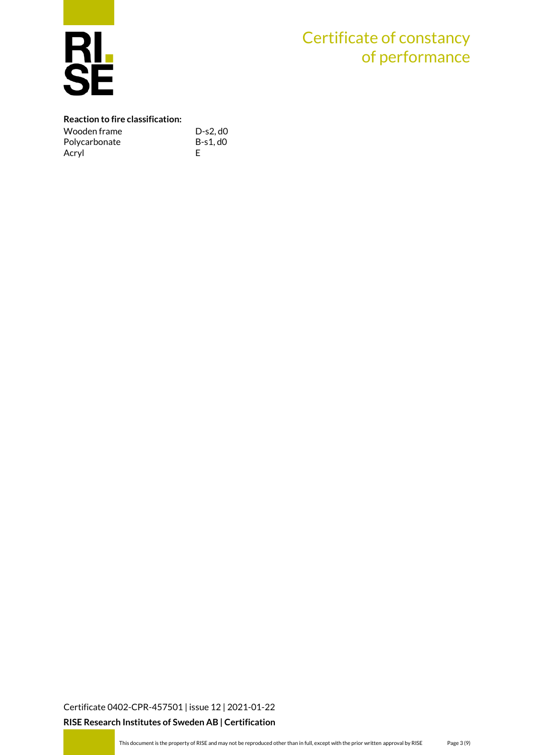

#### **Reaction to fire classification:**

| Wooden frame  | $D-s2, d0$ |
|---------------|------------|
| Polycarbonate | $B-s1.d0$  |
| Acryl         |            |

[Certificate 0402-CPR-457501](#page-0-0) | issue 12 | 2021-01-22 **RISE Research Institutes of Sweden AB | Certification**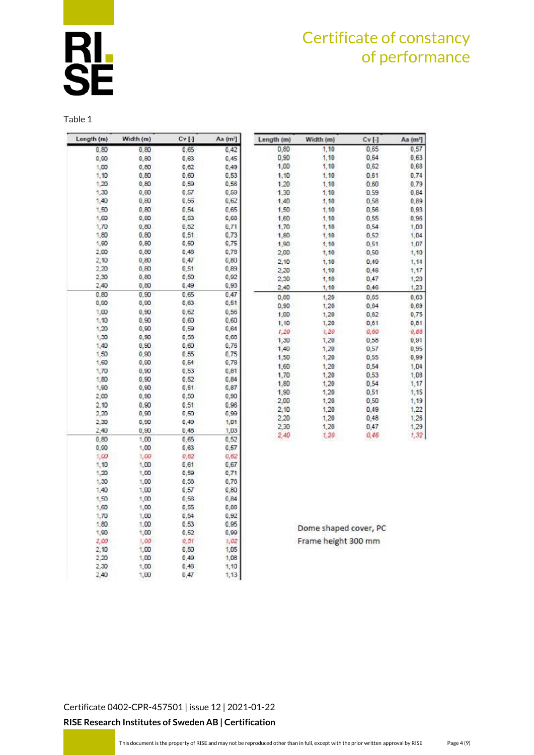$cv$ [-]  $0,65$ 

0,64

 $0,62$ 

 $0,61$ 

 $0.60$ 

0.59

0.58

0,56

0,55  $0,54$ 

 $0,52$ 

0,51

0,50

 $0,49$ 

 $0,48$ 

 $0,47$ 

 $0,46$ 

 $0,65$ 

 $0,64$ 

 $0,62$ 

 $0,61$ 

0,60

0,58  $0,57$ 

 $0,55$ 

 $0,54$ 

 $0,53$ 

0,54

 $0,51$ 

 $0,50$ 

 $0,49$ 

 $0,48$ 

 $0,47$ 

 $0,46$ 

Aa (m<sup>2</sup>)

 $0.57$ 

 $0,63$ 

 $0,68$ 

 $0,74$ 

 $0.79$ 

 $0.84$ 

0,89

0,93 0,96

 $1,00$ 

 $1,04$ 

 $1,07$ 

1,10

 $1, 14$ 

 $1,17$ 

 $1,20$ 

 $1,23$ 

 $0,63$ 

 $0,69$ 

 $0,75$ 

 $0,81$ 

 $0,65$  $0,91$ 

 $0,95$ 

0,99

 $1,04$ 

1,08

 $1,17$ 

 $1,15$ 

1,19

 $1,22$ 

 $1,26$ 

1,29

 $1,32$ 

Table 1

| Longth (m) | Width (m) | $Cv$ [] | Aa (m <sup>2</sup> ] | Length (m)   | Width (m)       |
|------------|-----------|---------|----------------------|--------------|-----------------|
| 0,80       | 0,80      | 0,65    | 0.42                 | 0,80         | 1,10            |
| 0,00       | 0,80      | 0,63    | 0,45                 | 0,90         | 1,10            |
| 1,00       | 0,80      | 0,62    | 0,49                 | 1,00         | 1,10            |
| 1,10       | 0,80      | 0,60    | 0,53                 | 1,10         | 1,10            |
| 1,20       | 0,80      | 0,59    | 0,58                 | 1.20         | 1,10            |
| 1,30       | 0,80      | 0,57    | 0,59                 | 1.30         | 1.10            |
| 1,40       | 0,80      | 0,56    | 0,62                 | 1,40         | 1, 10           |
| 1,50       | 0,80      | 0,54    | 0,65                 | 1,50         | 1,10            |
| 1,60       | 0,60      | 0,53    | 0,68.                | 1,60         | 1,10            |
| 1,70       | 0,80      | 0,52    | 0,71                 | 1,70         | 1,10            |
| 1,80       | 0,80      | 0,51    | 0,73                 | 1,80         | 1,10            |
| 1,90       | 0,80      | 0,50    | 0,75                 | 1,90         | 1, 10           |
| 2,00       | 0,60      | 0,48    | 0,78                 | 2,00         | 1,10            |
| 2,10       | 0,80      | 0,47    | 0,80                 | 2,10         | 1, 10           |
| 2,20       | 0,80      | 0,51    | 0,89                 | 2,20         | 1,10            |
| 2,30       | 0,80      | 0,50    | 0,92                 | 2,30         | 1, 10           |
| 2,40       | 0,80      | 0,49    | 0,93                 | 2,40         | 1,10            |
| 0,80       | 0, 90     | 0,65    | 0,47                 | 0,00         | 1,20            |
| 0,00       | 0,50.     | 0,63    | 0,51                 | 0,90         | 1,20            |
| 1,00       | 0, 90     | 0,62    | 0,56                 |              | 1,20            |
| 1,10       | 0,90      | 0,60    | 0,60                 | 1,00         | 1,20            |
| 1,20       | 0,90      | 0,59    | 0,64                 | 1,10         | 1,20            |
| 1,30       | 0, 50     | 0,58    | 0,68                 | 1,20         |                 |
| 1,40       | 0,50      | 0,60    | 0,76                 | 1,30<br>1,40 | 1,20            |
| 1,50       | 0,50      | 0,55    | 0,75                 |              | 1,20            |
| 1,60       | 0,90      | 0,54    | 0,78                 | 1,50         | 1,20            |
| 1,70       | 0,50      | 0,53    | 0,81                 | 1,60         | 1,20            |
| 1,80       | 0,90      | 0,52    | 0,84                 | 1,70         | 1,20            |
| 1,90       | 0,90      | 0,51    | 0,87                 | 1,80         | 1,20            |
| 2,00       | 0,50      | 0,50    | 0,90                 | 1,90         | 1,20            |
| 2,10       | 0,90      | 0,51    | 0,96                 | 2,00         | 1,20            |
| 2,20       | 0,90      | 0,50    | 0,99                 | 2,10         | 1,20            |
| 2,30       | 0,50      | 0,49    | 1,01                 | 2,20         | 1,20            |
| 2,40       | 0,50      | 0,48    | 1,03                 | 2,30         | 1,20            |
| 0,80       | 1,00      | 0,65    | 0,52                 | 2,40         | 1,20            |
| 0,90       | 1,00      | 0,63    | 0,57                 |              |                 |
| 1,00       | 1,00      | 0,62    | 0,62                 |              |                 |
| 1,10       | 1,00      | 0,61    | 0,67                 |              |                 |
| 1,20       | 1,00      | 0,59    | 0,71                 |              |                 |
| 1,30       | 1,00      | 0,58    | 0,76                 |              |                 |
| 1,40       | 1,00      | 0,57    | 0,80                 |              |                 |
| 1,50       | 1,00      | 0,56    | 0,84                 |              |                 |
| 1,60       | 1,00      | 0,55    | 0,88                 |              |                 |
| 1,70       | 1,00      | 0,54    | 0,92                 |              |                 |
| 1,80       | 1,00      | 0,53    | 0.95                 |              | Dome shaped c   |
| 1,90       | 1,00      | 0,52    | 0,99                 |              |                 |
| 2,00       | 1,00.     | 0, 31   | 1,02                 |              | Frame height 30 |
| 2,10       | 1,00      | 0,50    | 1,05                 |              |                 |
| 2,20       | 1,00      | 0,49    | 1,08                 |              |                 |
| 2,30       | 1,00      | 0,48    | 1,10                 |              |                 |
| 2,40       | 1,00      | 0,47    | 1, 13                |              |                 |

over, PC  $00 \text{ mm}$ 

[Certificate 0402-CPR-457501](#page-0-0) | issue 12 | 2021-01-22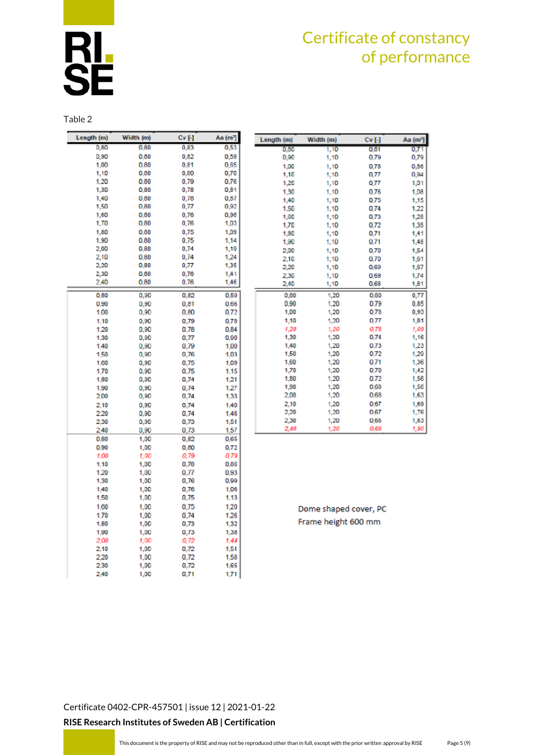

Table 2

| 0,53<br>0,80<br>0.80<br>0,83<br>0.90<br>0.80<br>0.82<br>0,59<br>1,00<br>0.80<br>0,81<br>0,65<br>1,10<br>0.80<br>0,80<br>0,70<br>1,20<br>0.80<br>0,79<br>0,76<br>1,30<br>0.80<br>0,78<br>0,81<br>1,40<br>0.80<br>0,78<br>0,87<br>1,50<br>0,92<br>0.80<br>0,77<br>1,60<br>0.80<br>0,76<br>0,98<br>1,70<br>0.80<br>0,76<br>1,03<br>0.00<br>0,75<br>1,00<br>1,09<br>1.90<br>0.80<br>0.75<br>1,14<br>2,00<br>0.80<br>0,74<br>1,19<br>2,10<br>0.80<br>0,74<br>1,24<br>2,20<br>0,77<br>1,35<br>0,80<br>2,30<br>0,80<br>0,76<br>1,41<br>0.80<br>2.40<br>0.76<br>1,46<br>0,82<br>0.59<br>0.80<br>0,90<br>0,90<br>0,90<br>0,81<br>0.66<br>1.00<br>0.90<br>0.80<br>0.72<br>0.78<br>1,10<br>0,90<br>0,79<br>1,20<br>0,90<br>0.78<br>0.84<br>1,30<br>0,90<br>0,77<br>0.90<br>0,79<br>1,40<br>$_{0.90}$<br>1.00<br>1,50<br>0,90<br>0,76<br>1,03<br>1,60<br>0,90<br>0,75<br>1.09<br>0,90<br>0.75<br>1.70<br>1.15<br>1,80<br>0,90<br>0,74<br>1,21<br>1,90<br>0,90<br>0,74<br>1,27<br>0,74<br>1,33<br>2,00<br>0,90<br>0,74<br>1,40<br>2.10<br>0,90<br>2.20<br>0,90<br>0.74<br>1.46<br>2.30<br>0.90<br>0,73<br>1.51<br>2.40<br>0,90<br>0,73<br>1,57<br>0.80<br>1,00<br>0,82<br>0.65<br>0,90<br>1,00<br>0,80<br>0,72<br>1,00<br>1.00<br>0,79<br>0.79<br>1,10<br>1,00<br>0,78<br>0,86<br>1.20<br>1.00<br>0.77<br>0.93<br>1,30<br>1,00<br>0,76<br>0,99<br>1,40<br>1,00<br>0,76<br>1,06<br>1,50<br>1,00<br>0,75<br>1.13<br>0.75<br>1.00<br>1,00<br>1.20<br>0.74<br>1.26<br>1.70<br>1.00<br>1,80<br>0,73<br>1.32<br>1,00<br>1,90<br>1,00<br>0,73<br>1,38<br>2.00<br>1.00<br>0,72<br>1,44<br>2,10<br>1,00<br>0,72<br>1,51<br>2.20<br>0.72<br>1.58<br>1,00<br>2,30<br>0,72<br>165<br>1,00<br>2.40<br>1,00<br>0,71<br>1,71 | Length (m) | Width (m) | Cv [-] | Aa (mª) |
|--------------------------------------------------------------------------------------------------------------------------------------------------------------------------------------------------------------------------------------------------------------------------------------------------------------------------------------------------------------------------------------------------------------------------------------------------------------------------------------------------------------------------------------------------------------------------------------------------------------------------------------------------------------------------------------------------------------------------------------------------------------------------------------------------------------------------------------------------------------------------------------------------------------------------------------------------------------------------------------------------------------------------------------------------------------------------------------------------------------------------------------------------------------------------------------------------------------------------------------------------------------------------------------------------------------------------------------------------------------------------------------------------------------------------------------------------------------------------------------------------------------------------------------------------------------------------------------------------------------------------------------------------------------------------------------------------|------------|-----------|--------|---------|
|                                                                                                                                                                                                                                                                                                                                                                                                                                                                                                                                                                                                                                                                                                                                                                                                                                                                                                                                                                                                                                                                                                                                                                                                                                                                                                                                                                                                                                                                                                                                                                                                                                                                                                  |            |           |        |         |
|                                                                                                                                                                                                                                                                                                                                                                                                                                                                                                                                                                                                                                                                                                                                                                                                                                                                                                                                                                                                                                                                                                                                                                                                                                                                                                                                                                                                                                                                                                                                                                                                                                                                                                  |            |           |        |         |
|                                                                                                                                                                                                                                                                                                                                                                                                                                                                                                                                                                                                                                                                                                                                                                                                                                                                                                                                                                                                                                                                                                                                                                                                                                                                                                                                                                                                                                                                                                                                                                                                                                                                                                  |            |           |        |         |
|                                                                                                                                                                                                                                                                                                                                                                                                                                                                                                                                                                                                                                                                                                                                                                                                                                                                                                                                                                                                                                                                                                                                                                                                                                                                                                                                                                                                                                                                                                                                                                                                                                                                                                  |            |           |        |         |
|                                                                                                                                                                                                                                                                                                                                                                                                                                                                                                                                                                                                                                                                                                                                                                                                                                                                                                                                                                                                                                                                                                                                                                                                                                                                                                                                                                                                                                                                                                                                                                                                                                                                                                  |            |           |        |         |
|                                                                                                                                                                                                                                                                                                                                                                                                                                                                                                                                                                                                                                                                                                                                                                                                                                                                                                                                                                                                                                                                                                                                                                                                                                                                                                                                                                                                                                                                                                                                                                                                                                                                                                  |            |           |        |         |
|                                                                                                                                                                                                                                                                                                                                                                                                                                                                                                                                                                                                                                                                                                                                                                                                                                                                                                                                                                                                                                                                                                                                                                                                                                                                                                                                                                                                                                                                                                                                                                                                                                                                                                  |            |           |        |         |
|                                                                                                                                                                                                                                                                                                                                                                                                                                                                                                                                                                                                                                                                                                                                                                                                                                                                                                                                                                                                                                                                                                                                                                                                                                                                                                                                                                                                                                                                                                                                                                                                                                                                                                  |            |           |        |         |
|                                                                                                                                                                                                                                                                                                                                                                                                                                                                                                                                                                                                                                                                                                                                                                                                                                                                                                                                                                                                                                                                                                                                                                                                                                                                                                                                                                                                                                                                                                                                                                                                                                                                                                  |            |           |        |         |
|                                                                                                                                                                                                                                                                                                                                                                                                                                                                                                                                                                                                                                                                                                                                                                                                                                                                                                                                                                                                                                                                                                                                                                                                                                                                                                                                                                                                                                                                                                                                                                                                                                                                                                  |            |           |        |         |
|                                                                                                                                                                                                                                                                                                                                                                                                                                                                                                                                                                                                                                                                                                                                                                                                                                                                                                                                                                                                                                                                                                                                                                                                                                                                                                                                                                                                                                                                                                                                                                                                                                                                                                  |            |           |        |         |
|                                                                                                                                                                                                                                                                                                                                                                                                                                                                                                                                                                                                                                                                                                                                                                                                                                                                                                                                                                                                                                                                                                                                                                                                                                                                                                                                                                                                                                                                                                                                                                                                                                                                                                  |            |           |        |         |
|                                                                                                                                                                                                                                                                                                                                                                                                                                                                                                                                                                                                                                                                                                                                                                                                                                                                                                                                                                                                                                                                                                                                                                                                                                                                                                                                                                                                                                                                                                                                                                                                                                                                                                  |            |           |        |         |
|                                                                                                                                                                                                                                                                                                                                                                                                                                                                                                                                                                                                                                                                                                                                                                                                                                                                                                                                                                                                                                                                                                                                                                                                                                                                                                                                                                                                                                                                                                                                                                                                                                                                                                  |            |           |        |         |
|                                                                                                                                                                                                                                                                                                                                                                                                                                                                                                                                                                                                                                                                                                                                                                                                                                                                                                                                                                                                                                                                                                                                                                                                                                                                                                                                                                                                                                                                                                                                                                                                                                                                                                  |            |           |        |         |
|                                                                                                                                                                                                                                                                                                                                                                                                                                                                                                                                                                                                                                                                                                                                                                                                                                                                                                                                                                                                                                                                                                                                                                                                                                                                                                                                                                                                                                                                                                                                                                                                                                                                                                  |            |           |        |         |
|                                                                                                                                                                                                                                                                                                                                                                                                                                                                                                                                                                                                                                                                                                                                                                                                                                                                                                                                                                                                                                                                                                                                                                                                                                                                                                                                                                                                                                                                                                                                                                                                                                                                                                  |            |           |        |         |
|                                                                                                                                                                                                                                                                                                                                                                                                                                                                                                                                                                                                                                                                                                                                                                                                                                                                                                                                                                                                                                                                                                                                                                                                                                                                                                                                                                                                                                                                                                                                                                                                                                                                                                  |            |           |        |         |
|                                                                                                                                                                                                                                                                                                                                                                                                                                                                                                                                                                                                                                                                                                                                                                                                                                                                                                                                                                                                                                                                                                                                                                                                                                                                                                                                                                                                                                                                                                                                                                                                                                                                                                  |            |           |        |         |
|                                                                                                                                                                                                                                                                                                                                                                                                                                                                                                                                                                                                                                                                                                                                                                                                                                                                                                                                                                                                                                                                                                                                                                                                                                                                                                                                                                                                                                                                                                                                                                                                                                                                                                  |            |           |        |         |
|                                                                                                                                                                                                                                                                                                                                                                                                                                                                                                                                                                                                                                                                                                                                                                                                                                                                                                                                                                                                                                                                                                                                                                                                                                                                                                                                                                                                                                                                                                                                                                                                                                                                                                  |            |           |        |         |
|                                                                                                                                                                                                                                                                                                                                                                                                                                                                                                                                                                                                                                                                                                                                                                                                                                                                                                                                                                                                                                                                                                                                                                                                                                                                                                                                                                                                                                                                                                                                                                                                                                                                                                  |            |           |        |         |
|                                                                                                                                                                                                                                                                                                                                                                                                                                                                                                                                                                                                                                                                                                                                                                                                                                                                                                                                                                                                                                                                                                                                                                                                                                                                                                                                                                                                                                                                                                                                                                                                                                                                                                  |            |           |        |         |
|                                                                                                                                                                                                                                                                                                                                                                                                                                                                                                                                                                                                                                                                                                                                                                                                                                                                                                                                                                                                                                                                                                                                                                                                                                                                                                                                                                                                                                                                                                                                                                                                                                                                                                  |            |           |        |         |
|                                                                                                                                                                                                                                                                                                                                                                                                                                                                                                                                                                                                                                                                                                                                                                                                                                                                                                                                                                                                                                                                                                                                                                                                                                                                                                                                                                                                                                                                                                                                                                                                                                                                                                  |            |           |        |         |
|                                                                                                                                                                                                                                                                                                                                                                                                                                                                                                                                                                                                                                                                                                                                                                                                                                                                                                                                                                                                                                                                                                                                                                                                                                                                                                                                                                                                                                                                                                                                                                                                                                                                                                  |            |           |        |         |
|                                                                                                                                                                                                                                                                                                                                                                                                                                                                                                                                                                                                                                                                                                                                                                                                                                                                                                                                                                                                                                                                                                                                                                                                                                                                                                                                                                                                                                                                                                                                                                                                                                                                                                  |            |           |        |         |
|                                                                                                                                                                                                                                                                                                                                                                                                                                                                                                                                                                                                                                                                                                                                                                                                                                                                                                                                                                                                                                                                                                                                                                                                                                                                                                                                                                                                                                                                                                                                                                                                                                                                                                  |            |           |        |         |
|                                                                                                                                                                                                                                                                                                                                                                                                                                                                                                                                                                                                                                                                                                                                                                                                                                                                                                                                                                                                                                                                                                                                                                                                                                                                                                                                                                                                                                                                                                                                                                                                                                                                                                  |            |           |        |         |
|                                                                                                                                                                                                                                                                                                                                                                                                                                                                                                                                                                                                                                                                                                                                                                                                                                                                                                                                                                                                                                                                                                                                                                                                                                                                                                                                                                                                                                                                                                                                                                                                                                                                                                  |            |           |        |         |
|                                                                                                                                                                                                                                                                                                                                                                                                                                                                                                                                                                                                                                                                                                                                                                                                                                                                                                                                                                                                                                                                                                                                                                                                                                                                                                                                                                                                                                                                                                                                                                                                                                                                                                  |            |           |        |         |
|                                                                                                                                                                                                                                                                                                                                                                                                                                                                                                                                                                                                                                                                                                                                                                                                                                                                                                                                                                                                                                                                                                                                                                                                                                                                                                                                                                                                                                                                                                                                                                                                                                                                                                  |            |           |        |         |
|                                                                                                                                                                                                                                                                                                                                                                                                                                                                                                                                                                                                                                                                                                                                                                                                                                                                                                                                                                                                                                                                                                                                                                                                                                                                                                                                                                                                                                                                                                                                                                                                                                                                                                  |            |           |        |         |
|                                                                                                                                                                                                                                                                                                                                                                                                                                                                                                                                                                                                                                                                                                                                                                                                                                                                                                                                                                                                                                                                                                                                                                                                                                                                                                                                                                                                                                                                                                                                                                                                                                                                                                  |            |           |        |         |
|                                                                                                                                                                                                                                                                                                                                                                                                                                                                                                                                                                                                                                                                                                                                                                                                                                                                                                                                                                                                                                                                                                                                                                                                                                                                                                                                                                                                                                                                                                                                                                                                                                                                                                  |            |           |        |         |
|                                                                                                                                                                                                                                                                                                                                                                                                                                                                                                                                                                                                                                                                                                                                                                                                                                                                                                                                                                                                                                                                                                                                                                                                                                                                                                                                                                                                                                                                                                                                                                                                                                                                                                  |            |           |        |         |
|                                                                                                                                                                                                                                                                                                                                                                                                                                                                                                                                                                                                                                                                                                                                                                                                                                                                                                                                                                                                                                                                                                                                                                                                                                                                                                                                                                                                                                                                                                                                                                                                                                                                                                  |            |           |        |         |
|                                                                                                                                                                                                                                                                                                                                                                                                                                                                                                                                                                                                                                                                                                                                                                                                                                                                                                                                                                                                                                                                                                                                                                                                                                                                                                                                                                                                                                                                                                                                                                                                                                                                                                  |            |           |        |         |
|                                                                                                                                                                                                                                                                                                                                                                                                                                                                                                                                                                                                                                                                                                                                                                                                                                                                                                                                                                                                                                                                                                                                                                                                                                                                                                                                                                                                                                                                                                                                                                                                                                                                                                  |            |           |        |         |
|                                                                                                                                                                                                                                                                                                                                                                                                                                                                                                                                                                                                                                                                                                                                                                                                                                                                                                                                                                                                                                                                                                                                                                                                                                                                                                                                                                                                                                                                                                                                                                                                                                                                                                  |            |           |        |         |
|                                                                                                                                                                                                                                                                                                                                                                                                                                                                                                                                                                                                                                                                                                                                                                                                                                                                                                                                                                                                                                                                                                                                                                                                                                                                                                                                                                                                                                                                                                                                                                                                                                                                                                  |            |           |        |         |
|                                                                                                                                                                                                                                                                                                                                                                                                                                                                                                                                                                                                                                                                                                                                                                                                                                                                                                                                                                                                                                                                                                                                                                                                                                                                                                                                                                                                                                                                                                                                                                                                                                                                                                  |            |           |        |         |
|                                                                                                                                                                                                                                                                                                                                                                                                                                                                                                                                                                                                                                                                                                                                                                                                                                                                                                                                                                                                                                                                                                                                                                                                                                                                                                                                                                                                                                                                                                                                                                                                                                                                                                  |            |           |        |         |
|                                                                                                                                                                                                                                                                                                                                                                                                                                                                                                                                                                                                                                                                                                                                                                                                                                                                                                                                                                                                                                                                                                                                                                                                                                                                                                                                                                                                                                                                                                                                                                                                                                                                                                  |            |           |        |         |
|                                                                                                                                                                                                                                                                                                                                                                                                                                                                                                                                                                                                                                                                                                                                                                                                                                                                                                                                                                                                                                                                                                                                                                                                                                                                                                                                                                                                                                                                                                                                                                                                                                                                                                  |            |           |        |         |
|                                                                                                                                                                                                                                                                                                                                                                                                                                                                                                                                                                                                                                                                                                                                                                                                                                                                                                                                                                                                                                                                                                                                                                                                                                                                                                                                                                                                                                                                                                                                                                                                                                                                                                  |            |           |        |         |
|                                                                                                                                                                                                                                                                                                                                                                                                                                                                                                                                                                                                                                                                                                                                                                                                                                                                                                                                                                                                                                                                                                                                                                                                                                                                                                                                                                                                                                                                                                                                                                                                                                                                                                  |            |           |        |         |
|                                                                                                                                                                                                                                                                                                                                                                                                                                                                                                                                                                                                                                                                                                                                                                                                                                                                                                                                                                                                                                                                                                                                                                                                                                                                                                                                                                                                                                                                                                                                                                                                                                                                                                  |            |           |        |         |
|                                                                                                                                                                                                                                                                                                                                                                                                                                                                                                                                                                                                                                                                                                                                                                                                                                                                                                                                                                                                                                                                                                                                                                                                                                                                                                                                                                                                                                                                                                                                                                                                                                                                                                  |            |           |        |         |
|                                                                                                                                                                                                                                                                                                                                                                                                                                                                                                                                                                                                                                                                                                                                                                                                                                                                                                                                                                                                                                                                                                                                                                                                                                                                                                                                                                                                                                                                                                                                                                                                                                                                                                  |            |           |        |         |
|                                                                                                                                                                                                                                                                                                                                                                                                                                                                                                                                                                                                                                                                                                                                                                                                                                                                                                                                                                                                                                                                                                                                                                                                                                                                                                                                                                                                                                                                                                                                                                                                                                                                                                  |            |           |        |         |
|                                                                                                                                                                                                                                                                                                                                                                                                                                                                                                                                                                                                                                                                                                                                                                                                                                                                                                                                                                                                                                                                                                                                                                                                                                                                                                                                                                                                                                                                                                                                                                                                                                                                                                  |            |           |        |         |

| Length (m) | Width (m) | CV[.] | Aa (m <sup>2</sup> ] |
|------------|-----------|-------|----------------------|
| 0.30       | 1,10      | 0.81  | 0,71                 |
| 0,90       | 1,10      | 0.79  | 0,79                 |
| 1,00       | 1,10      | 0.78  | 0,86                 |
| 1,10       | 1,10      | 0,77  | 0,94                 |
| 1,20       | 1,10      | 0,77  | 1,01                 |
| 1,30       | 1,10      | 0.76  | 1,08                 |
| 1,40       | 1,10      | 0.75  | 1,15                 |
| 1,50       | 1,10      | 0.74  | 1,22                 |
| 1,60       | 1,10      | 0,73  | 1,28                 |
| 1,70       | 1.10      | 0.72  | 1,35                 |
| 1,80       | 1,10      | 0.71  | 1,41                 |
| 1,90       | 1,10      | 0.71  | 1,48                 |
| 2,00       | 1,10      | 0,70  | 1,54                 |
| 2,10       | 1.10      | 0.70  | 1,61                 |
| 2,20       | 1,10      | 0.69  | 1,67                 |
| 2,30       | 1,10      | 0.69  | 1,74                 |
| 2,40       | 1,10      | 0,68  | 1,81                 |
| 0,80       | 1,20      | 0.80  | 0,77                 |
| 0,90       | 1,20      | 0.79  | 0.85                 |
| 1,00       | 1,20      | 0.78  | 0,93                 |
| 1,10       | 1,20      | 0.77  | 1,01                 |
| 1,20       | 1,20      | 0,76  | 1,09                 |
| 1,30       | 1,20      | 0.74  | 1,16                 |
| 1,40       | 1,20      | 0.73  | 1,23                 |
| 1,50       | 1,20      | 0.72  | 1,29                 |
| 1,60       | 1,20      | 0.71  | 1,36                 |
| 1,70       | 1,20      | 0.70  | 1,42                 |
| 1,80       | 1,20      | 0.72  | 1,56                 |
| 1,90       | 1,20      | 0.68  | 1,56                 |
| 2,00       | 1,20      | 0.68  | 1,63                 |
| 2,10       | 1,20      | 0.67  | 1,69                 |
| 2,20       | 1,20      | 0.67  | 1,76                 |
| 2,30       | 1,20      | 0.66  | 1,83                 |
| 2,40       | 1,20      | 0.66  | 1,90                 |

Dome shaped cover, PC Frame height 600 mm

[Certificate 0402-CPR-457501](#page-0-0) | issue 12 | 2021-01-22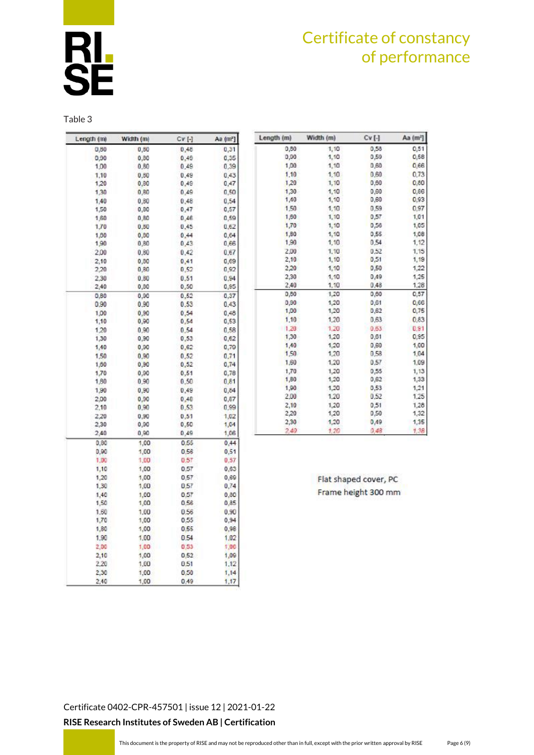

Table 3

| Length (m)   | Width (m) | CV[-]        | Aa (mª) |
|--------------|-----------|--------------|---------|
| 0,80         | 0,80      | 0,48         | 0,31    |
| 0,90         | 0, B0     | 0.49         | 0,35    |
| 1,00         | $_{0.80}$ | 0.49         | 0,39    |
| 1,10         | 0,80      | 0.49         | 0,43    |
| 1,20         | 0, B0     | 0,49         | 0,47    |
| 1,30         | 0,80      | 0,49         | 0,50    |
| 1,40         | 0,80      | 0,48         | 0.54    |
| 1,50         | 0,00      | 0,47         | 0,57    |
| 1,60         | 0,80      | 0,46         | 0,59    |
| 1,70         | 0,50      | 0,45         | 0,62    |
| 1,00         | 0,00      | 0.44         | 0,64    |
| 1,90         | 0,80      | 0,43         | 0,66    |
| 2,00         | 0.80      | 0.42         | 0.67    |
| 2,10         | 0.80      | 0,41         | 0,69    |
| 2,20         | 0,80      | 0,52         | 0,92    |
| 2,30         | 0,80      | 0,51         | 0, 94   |
| 2,40         | 0,00      | 0,50         | 0,85    |
| 0,80         | 0,90      | 0,52         | 0,37    |
| 0.90         | 0.90      | 0.53         | 0,43    |
| 1,00         | 0.90      | 0.54         | 0,48    |
| 1,10         | 0,90      | 0,54         | 0,53    |
| 1,20         | 0.90      | 0.54         | 0,58    |
| 1,30         | 0,90      | 0,53         | 0,62    |
| 1,40         | 0,90      | 0,62         | 0,79    |
| 1,50         | 0,90      | 0,52         | 0.71    |
| 1,60         | 0,90      | 0,52         | 0,74    |
| 1,70         | 0,90      | 0,51         | 0,78    |
| 1,80         | 0.90      | 0,50         | 0,81    |
| 1,90         | 0,90      | 0.49         | 0.84    |
| 2,00         | 0,90      | 0,48         | 0,87    |
| 2,10         | 0,90      | 0,53         | 0,99    |
| 2,20         | 0,90      | 0,51         | 1,02    |
| 2,30         | 0,90      | 0,50         | 1,04    |
| 2,40         | 0,90      | 0,49         | 1,06    |
| 0,80         | 1,00      | 0.55         | 0,44    |
| 0,90         |           | 0,56         | 0,51    |
| 1,00         | 1,00      |              |         |
|              | 1.00      | 0,57         | 0.57    |
| 1,10         | 1,00      | 0,57         | 0,63    |
| 1,20         | 1,00      | 0.57         | 0,69    |
| 1,30<br>1.40 | 1,00      | 0,57         | 0,74    |
|              | 1,00      | 0,57<br>0,56 | 0,00    |
| 1,50         | 1,00      |              | 0,85    |
| 1.60         | 1.00      | 0.56         | 0.90    |
| 1,70         | 1,00      | 0,55         | 0,94    |
| 1,80         | 1,00      | 0,55         | 0,98    |
| 1,90         | 1,00      | 0.54         | 1.02    |
| 2,00         | 1,00      | 0,53         | 1,00    |
| 2,10         | 1,00      | 0,52         | 1,09    |
| 2,20         | 1,00      | 0.51         | 1.12    |
| 2,30         | 1,00      | 0,50         | 1,14    |
| 2.40         | 1,00      | 0.49         | 1.17    |

| Length (m) | Width (m) | $Cv$ [-] | Aa (m <sup>2</sup> ) |
|------------|-----------|----------|----------------------|
| 0,80       | 1,10      | 0,58     | 0,51                 |
| 0,90       | 1,10      | 0,59     | 0,58                 |
| 1,00       | 1,10      | 0,60     | 0,66                 |
| 1,10       | 1,10.     | 0.60     | 0.73                 |
| 1,20       | 1,10      | 0,60     | 0,80                 |
| 1,30       | 1,10      | 0,60     | 0,86                 |
| 1,40       | 1,10      | 0,60     | 0,93                 |
| 1,50       | 1,10      | 0,59     | 0,97                 |
| 1,60       | 1,10      | 0,57     | 1,01                 |
| 1,70       | 1,10      | 0,56     | 1,05                 |
| 1,80       | 1,10      | 0.55     | 1,08                 |
| 1,90       | 1,10      | 0.54     | 1,12                 |
| 2.00       | 1.10      | 0.52     | 1,15                 |
| 2,10       | 1,10      | 0,51     | 1,19                 |
| 2,20       | 1,10      | 0,50     | 1,22                 |
| 2,30       | 1,10      | 0,49     | 1,25                 |
| 2,40       | 1,10      | 0,48     | 1,28                 |
| 0,80       | 1,20      | 0,60     | 0,57                 |
| 0,90       | 1,20      | 0,61     | 0,66                 |
| 1,00       | 1,20      | 0,62     | 0,75                 |
| 1,10       | 1,20      | 0,63     | 0.83                 |
| 1,20       | 1.20      | 0.53     | 0.91                 |
| 1.30       | 1,20      | 0,61     | 0,95                 |
| 1,40       | 1,20      | 0,60     | 1,00                 |
| 1,50       | 1,20      | 0,58     | 1,04                 |
| 1,60       | 1,20      | 0,57     | 1,09                 |
| 1,70       | 1,20      | 0,55     | 1,13                 |
| 1,80       | 1,20      | 0,62     | 1,33                 |
| 1,90       | 1,20      | 0,53     | 1,21                 |
| 2.00       | 1,20      | 0.52     | 1,25                 |
| 2,10       | 1,20      | 0,51     | 1,28                 |
| 2,20       | 1,20      | 0,50     | 1,32                 |
| 2,30       | 1,20      | 0,49     | 1,35                 |
| 2,40       | 1.20      | 0,48     | 1.38                 |

Flat shaped cover, PC Frame height 300 mm

[Certificate 0402-CPR-457501](#page-0-0) | issue 12 | 2021-01-22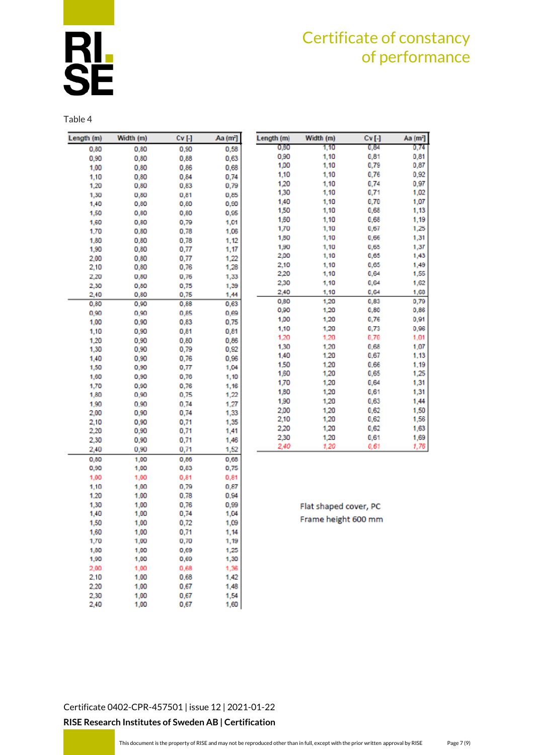

Table 4

| Length (m) | Width (m) | Cv [-] | Aa (mª] | Ler |
|------------|-----------|--------|---------|-----|
| 0,80       | 0,80      | 0,90   | 0,58    |     |
| 0,90       | 0,80      | 0,88   | 0,63    |     |
| 1,00       | 0,80      | 0,86   | 0,68    |     |
| 1,10       | 0,80      | 0,84   | 0,74    |     |
| 1,20       | 0,80      | 0,83   | 0,79    |     |
| 1,30       | 0,80      | 0,81   | 0,85    |     |
| 1,40       | 0,80      | 0,80   | 0,90    |     |
| 1,50       | 0,80      | 0,80   | 0,95    |     |
| 1,60       | 0,80      | 0,79   | 1,01    |     |
| 1,70       | 0,80      | 0,78   | 1,06    |     |
| 1,80       | 0,80      | 0,78   | 1,12    |     |
| 1,90       | 0,80      | 0,77   | 1,17    |     |
| 2,00       | 0,80      | 0,77   | 1,22    |     |
| 2,10       | 0,80      | 0,76   | 1,28    |     |
| 2,20       | 0,80      | 0,76   | 1,33    |     |
| 2,30       | 0,80      | 0,75   | 1,39    |     |
| 2,40       | 0,80      | 0,75   | 1,44    |     |
| 0,80       | 0,90      | 0,88   | 0,63    |     |
| 0,90       | 0,90      | 0,85   | 0,69    |     |
| 1,00       | 0,90      | 0,83   | 0,75    |     |
| 1,10       | 0,90      | 0,81   | 0,81    |     |
| 1,20       | 0,90      | 0,80   | 0,86    |     |
| 1,30       | 0,90      | 0,79   | 0,92    |     |
| 1,40       | 0,90      | 0,76   | 0,96    |     |
| 1,50       | 0,90      | 0,77   | 1,04    |     |
| 1,60       | 0,90      | 0,76   | 1,10    |     |
| 1,70       | 0,90      | 0,76   | 1,16    |     |
| 1,80       | 0,90      | 0,75   | 1,22    |     |
| 1,90       | 0.90      | 0.74   | 1,27    |     |
| 2,00       | 0,90      | 0,74   | 1,33    |     |
| 2,10       | 0,90      | 0,71   | 1,35    |     |
| 2,20       | 0,90      | 0,71   | 1,41    |     |
| 2,30       | 0,90      | 0,71   | 1,46    |     |
| 2,40       | 0,90      | 0,71   | 1,52    |     |
| 0,80       | 1,00      | 0,86   | 0,68    |     |
| 0,90       | 1,00      | 0,83   | 0,75    |     |
| 1,00       | 1,00      | 0,81   | 0,81    |     |
| 1,10       | 1,00      | 0,79   | 0,87    |     |
| 1,20       | 1,00      | 0,78   | 0,94    |     |
| 1,30       | 1,00      | 0,76   | 0,99    |     |
| 1,40       | 1,00      | 0,74   | 1,04    |     |
| 1,50       | 1,00      | 0,72   | 1,09    |     |
| 1,60       | 1,00      | 0,71   | 1,14    |     |
| 1,70       | 1,00      | 0,70   | 1,19    |     |
| 1,80       | 1,00      | 0,69   | 1,25    |     |
| 1,90       | 1,00      | 0,69   | 1,30    |     |
| 2,00       | 1,00      | 0,68   | 1,36    |     |
| 2,10       | 1.00      | 0,68   | 1,42    |     |
| 2,20       | 1,00      | 0,67   | 1,48    |     |
| 2,30       | 1.00      | 0,67   | 1,54    |     |
| 2,40       | 1,00      | 0,67   | 1,60    |     |
|            |           |        |         |     |

| Length (m) | Width (m) | $Cv$ [-] | Aa (m <sup>2</sup> ] |
|------------|-----------|----------|----------------------|
| 0,80       | 1,10      | 0,84     | 0,74                 |
| 0,90       | 1,10      | 0,81     | 0,81                 |
| 1,00       | 1,10      | 0,79     | 0,87                 |
| 1,10       | 1,10      | 0,76     | 0,92                 |
| 1,20       | 1,10      | 0,74     | 0,97                 |
| 1,30       | 1,10      | 0,71     | 1,02                 |
| 1,40       | 1,10      | 0,70     | 1,07                 |
| 1,50       | 1,10      | 0,68     | 1,13                 |
| 1,60       | 1,10      | 0,68     | 1,19                 |
| 1,70       | 1,10      | 0,67     | 1,25                 |
| 1,50       | 1,10      | 0,66     | 1,31                 |
| 1,90       | 1,10      | 0,65     | 1,37                 |
| 2,00       | 1,10      | 0,65     | 1,43                 |
| 2,10       | 1,10      | 0,65     | 1,49                 |
| 2,20       | 1,10      | 0,64     | 1,55                 |
| 2,30       | 1,10      | 0,64     | 1,62                 |
| 2,40       | 1,10      | 0,64     | 1,68                 |
| 0,80       | 1,20      | 0,83     | 0,79                 |
| 0.90       | 1,20      | 0,80     | 0,86                 |
| 1,00       | 1,20      | 0,76     | 0,91                 |
| 1,10       | 1,20      | 0,73     | 0,96                 |
| 1,20       | 1,20      | 0,70     | 1,01                 |
| 1.30       | 1,20      | 0,68     | 1,07                 |
| 1,40       | 1,20      | 0,67     | 1,13                 |
| 1.50       | 1,20      | 0.66     | 1,19                 |
| 1,60       | 1,20      | 0,65     | 1,25                 |
| 1,70       | 1,20      | 0,64     | 1,31                 |
| 1,80       | 1,20      | 0,61     | 1,31                 |
| 1,90       | 1,20      | 0,63     | 1,44                 |
| 2.00       | 1,20      | 0,62     | 1,50                 |
| 2,10       | 1,20      | 0,62     | 1,56                 |
| 2,20       | 1,20      | 0,62     | 1,63                 |
| 2,30       | 1,20      | 0,61     | 1,69                 |
| 2.40       | 1.20      | 0.61     | 1.76                 |

Flat shaped cover, PC Frame height 600 mm

[Certificate 0402-CPR-457501](#page-0-0) | issue 12 | 2021-01-22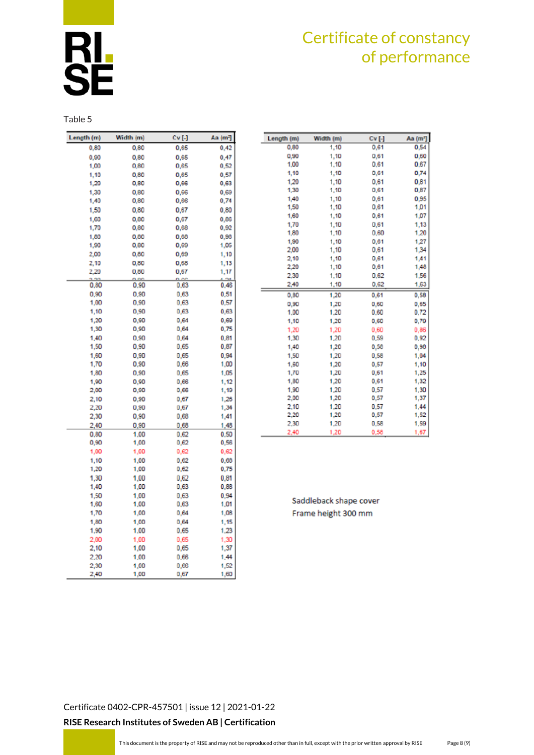Table 5

| Length (m) | Width (m)    | Cv [-] | Aa (m <sup>2</sup> ] |
|------------|--------------|--------|----------------------|
| 0,80       | 0,80         | 0,65   | 0,42                 |
| 0,90       | 0,80         | 0,65   | 0,47                 |
| 1,00       | 0,80         | 0,65   | 0,52                 |
| 1,10       | 0,80         | 0,65   | 0,57                 |
| 1,20       | 0,80         | 0,66   | 0,63                 |
| 1,30       | 0.80         | 0,66   | 0,69                 |
| 1,40       | 0,80         | 0,66   | 0,74                 |
| 1,50       | 0,80         | 0,67   | 0,80                 |
| 1,60       | 0,80         | 0,67   | 0,86                 |
| 1,70       | 0,80         | 0,68   | 0,92                 |
| 1,00       | 0,00         | 0,68   | 0,90                 |
| 1,90       | 0,80         | 0,69   | 1,05                 |
| 2,00       | 0,80         | 0,69   | 1,10                 |
| 2,10       | 0,80         | 0,68   | 1,13                 |
| 2,20       | 0,80         | 0,67   | 1,17                 |
| 0.80       | 0.00<br>0.90 | 0.63   | 0.46                 |
| 0.90       | 0.90         | 0.63   | 0,51                 |
| 1,00       | 0.90         | 0,63   | 0,57                 |
| 1,10       | 0,90         | 0,63   | 0,63                 |
| 1,20       | 0,90         | 0,64   | 0,69                 |
| 1,30       | 0,90         | 0,64   | 0,75                 |
| 1,40       | 0,90         | 0,64   | 0,81                 |
| 1,50       | 0,90         | 0,65   | 0,87                 |
| 1,60       | 0,90         | 0,65   | 0,94                 |
| 1,70       | 0.90         | 0,66   | 1,00                 |
| 1,80       | 0,90         | 0,65   | 1,05                 |
| 1,90       | 0.90         | 0,66   | 1,12                 |
| 2,00       | 0,90         | 0,66   | 1,19                 |
| 2,10       | 0.90         | 0,67   | 1,26                 |
| 2,20       | 0,90         | 0,67   | 1,34                 |
| 2,30       | 0,90         | 0,68   | 1,41                 |
| 2,40       | 0,90         | 0,68   | 1,48                 |
| 0,80       | 1.00         | 0,62   | 0.50                 |
| 0,90       | 1,00         | 0,62   | 0,56                 |
| 1,00       | 1,00         | 0,62   | 0,62                 |
| 1,10       | 1,00         | 0,62   | 0,65                 |
| 1,20       | 1,00         | 0,62   | 0,75                 |
| 1,30       | 1.00         | 0,62   | 0,81                 |
| 1,40       | 1,00         | 0,63   | 0,88                 |
| 1,50       | 1.00         | 0,63   | 0.94                 |
| 1,60       | 1,00         | 0,63   | 1,01                 |
| 1,70       | 1,00         | 0,64   | 1,03                 |
| 1,80       | 1,00         | 0,64   | 1,15                 |
| 1,90       | 1.00         | 0,65   | 1,23                 |
| 2,00       | 1,00         | 0.65   | 1,30                 |
| 2,10       | 1,00         | 0,65   | 1,37                 |
| 2,20       | 1.00         | 0,66   | 1.44                 |
| 2,30       | 1,00         | 0,66   | 1,52                 |
| 2,40       | 1,00         | 0,67   | 1,60                 |

| Length (m) | Width (m) | $Cv$ [-] | Aa (m <sup>2</sup> ) |
|------------|-----------|----------|----------------------|
| 0,80       | 1,10      | 0,61     | 0,54                 |
| 0,90       | 1,10      | 0,61     | 0,60                 |
| 1.00       | 1,10      | 0.61     | 0.67                 |
| 1,10       | 1,10      | 0,61     | 0,74                 |
| 1,20       | 1,10      | 0.61     | 0,81                 |
| 1,30       | 1,10      | 0,61     | 0,87                 |
| 1,40       | 1,10      | 0,61     | 0,95                 |
| 1,50       | 1,10      | 0,61     | 1,01                 |
| 1,60       | 1,10      | 0,61     | 1,07                 |
| 1,70       | 1,10      | 0,61     | 1,13                 |
| 1,80       | 1,10      | 0.60     | 1,20                 |
| 1,90       | 1,10      | 0,61     | 1,27                 |
| 2,00       | 1,10      | 0,61     | 1,34                 |
| 2,10       | 1,10      | 0,61     | 1,41                 |
| 2,20       | 1,10      | 0,61     | 1,48                 |
| 2.30       | 1,10      | 0.62     | 1,56                 |
| 2.40       | 1,10      | 0,62     | 1,63                 |
| 0,80       | 1,20      | 0,61     | 0,58                 |
| 0,90       | 1,20      | 0,60     | 0,65                 |
| 1.00       | 1.20      | 0.60     | 0,72                 |
| 1,10       | 1,20      | 0,60     | 0,79                 |
| 1,20       | 1.20      | 0.60     | 0,86                 |
| 1,30       | 1,20      | 0,59     | 0,92                 |
| 1,40       | 1,20      | 0,58     | 0,98                 |
| 1,50       | 1,20      | 0,58     | 1,04                 |
| 1,60       | 1,20      | 0,57     | 1,10                 |
| 1,70       | 1,20      | 0,61     | 1,25                 |
| 1,80       | 1,20      | 0,61     | 1,32                 |
| 1,90       | 1,20      | 0,57     | 1,30                 |
| 2,00       | 1,20      | 0,57     | 1,37                 |
| 2,10       | 1,20      | 0,57     | 1,44                 |
| 2,20       | 1,20      | 0,57     | 1,52                 |
| 2,30       | 1,20      | 0,58     | 1,59                 |
| 2,40       | 1,20      | 0,58     | 1,67                 |

Saddleback shape cover Frame height 300 mm

[Certificate 0402-CPR-457501](#page-0-0) | issue 12 | 2021-01-22